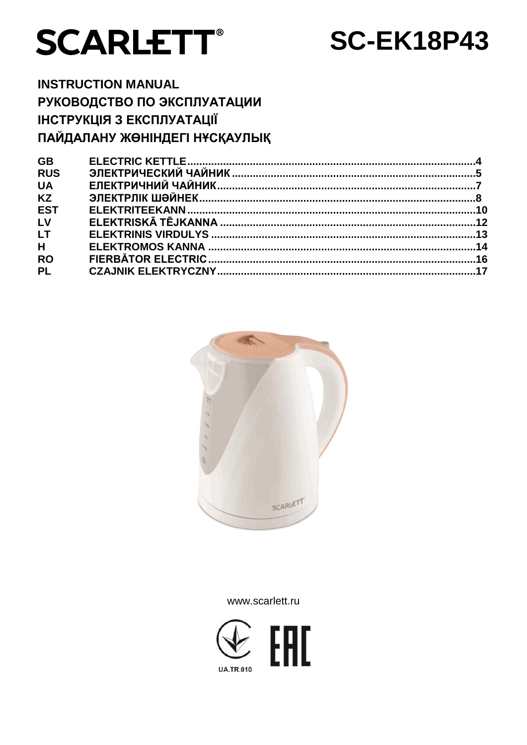

# **SC-EK18P43**

**INSTRUCTION MANUAL** РУКОВОДСТВО ПО ЭКСПЛУАТАЦИИ **ІНСТРУКЦІЯ З ЕКСПЛУАТАЦІЇ** ПАЙДАЛАНУ ЖӨНІНДЕГІ НҰСҚАУЛЫҚ

| <b>GB</b>  |                                                      |  |
|------------|------------------------------------------------------|--|
| <b>RUS</b> |                                                      |  |
| <b>UA</b>  |                                                      |  |
| <b>KZ</b>  | ЭЛЕКТРЛІК ШӘЙНЕК……………………………………………………………………………………………8 |  |
| <b>EST</b> |                                                      |  |
| LV         |                                                      |  |
| <b>LT</b>  |                                                      |  |
| H          |                                                      |  |
| <b>RO</b>  |                                                      |  |
| <b>PL</b>  |                                                      |  |
|            |                                                      |  |



www.scarlett.ru

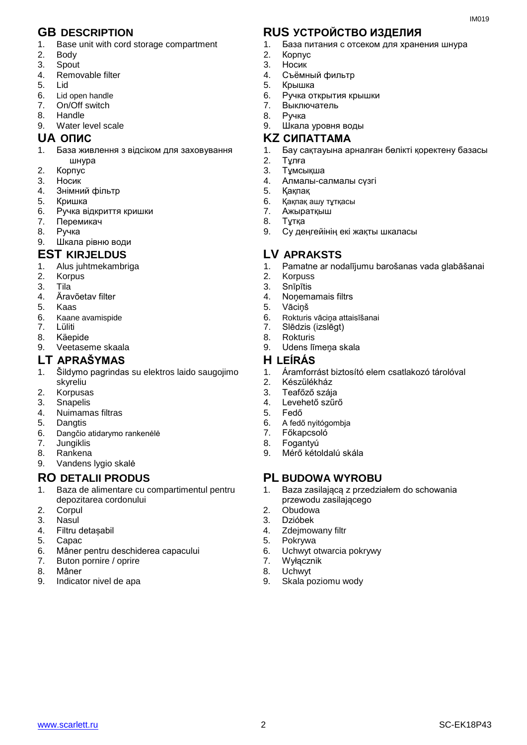- 1. Base unit with cord storage compartment
- 2. Body
- 3. Spout
- 4. Removable filter
- 5. Lid
- 6. Lid open handle<br>7 On/Off switch
- 7. On/Off switch
- 8. Handle
- 9. Water level scale

- 1. База живлення з відсіком для заховування шнура
- 2. Корпус
- 3. Носик
- 4. Знiмний фільтр
- 5. Кришка
- 6. Ручка відкриття кришки
- 7. Перемикач
- 8. Ручка
- 9. Шкала рівню води

### **EST KIRJELDUS LV APRAKSTS**

- 1. Alus juhtmekambriga
- 2. Korpus
- 3. Tila<sup>3</sup><br>4. Ärav
- 4. Äravõetav filter
- 5. Kaas
- 6. Kaane avamispide
- 7. Lüliti
- 8. Käepide
- 9. Veetaseme skaala

#### **LT APRAŠYMAS H LEÍRÁS**

- 1. Šildymo pagrindas su elektros laido saugojimo skyreliu
- 2. Korpusas
- 3. Snapelis
- 4. Nuimamas filtras
- 5. Dangtis
- 6. Dangčio atidarymo rankenėlė<br>7. lungiklis
- **Jungiklis**
- 8. Rankena
- 9. Vandens lygio skalė

- 1. Baza de alimentare cu compartimentul pentru depozitarea cordonului
- 2. Corpul
- 3. Nasul
- 4. Filtru detașabil
- 5. Capac
- 6. Mâner pentru deschiderea capacului
- 7. Buton pornire / oprire
- 8. Mâner
- 9. Indicator nivel de apa

### **GB DESCRIPTION RUS УСТРОЙСТВО ИЗДЕЛИЯ**

1. База питания с отсеком для хранения шнура

 $IMA010$ 

- 2. Корпус
- 3. Носик
- 4. Съёмный фильтр 5. Крышка
- 6. Ручка открытия крышки
- 7. Выключатель
- 8. Ручка
- 9. Шкала уровня воды

#### **UA ОПИС KZ СИПАТТАМА**

- 1. Бау сақтауына арналған бөлікті қоректену базасы
- 2. Тұлға
- 3. Тұмсықша
- 4. Алмалы-салмалы сүзгі
- 5. Қақпақ
- 6. Қақпақ ашу тұтқасы
- 7. Ажыратқыш
- 8. Тұтқа
- 9. Су деңгейінің екі жақты шкаласы

- 1. Pamatne ar nodalījumu barošanas vada glabāšanai
- 2. Korpuss
- 3. Snīpītis<br>4. Nonema
- Nonemamais filtrs
- 5. Vāciņš
- 6. Rokturis vāciņa attaisīšanai
- 7. Slēdzis (izslēgt)
- 8. Rokturis
- 9. Udens līmena skala

- 1. Áramforrást biztosító elem csatlakozó tárolóval
- 2. Készülékház
- 3. Teafőző szája
- 4. Levehető szűrő
- 5. Fedő
- 6. A fedő nyitógombja
- 7. Főkapcsoló
- 8. Fogantyú
- 9. Mérő kétoldalú skála

### **RO DETALII PRODUS PL BUDOWA WYROBU**

- 1. Baza zasilającą z przedziałem do schowania przewodu zasilającego
- 2. Obudowa
- 3. Dzióbek
- 4. Zdejmowany filtr
- 5. Pokrywa
- 6. Uchwyt otwarcia pokrywy
- 7. Wyłącznik
- 8. Uchwyt
- 9. Skala poziomu wody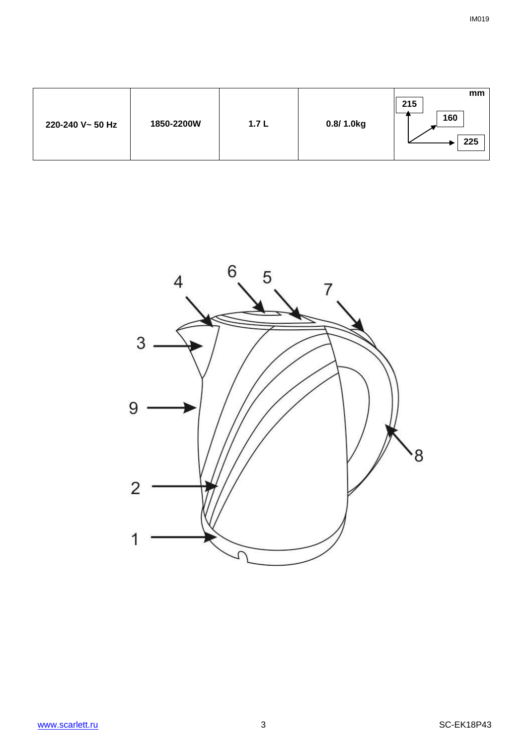| mm<br>215<br>160<br>1850-2200W<br>0.8/1.0kg<br>1.7L<br>220-240 V~ 50 Hz<br>225 |
|--------------------------------------------------------------------------------|
|--------------------------------------------------------------------------------|

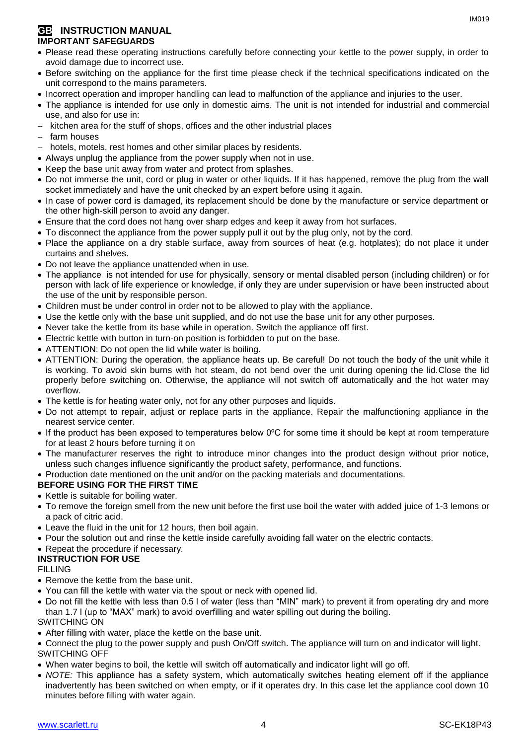#### **GB** INSTRUCTION MANUAL **IMPORTANT SAFEGUARDS**

- Please read these operating instructions carefully before connecting your kettle to the power supply, in order to avoid damage due to incorrect use.
- Before switching on the appliance for the first time please check if the technical specifications indicated on the unit correspond to the mains parameters.
- Incorrect operation and improper handling can lead to malfunction of the appliance and injuries to the user.
- The appliance is intended for use only in domestic aims. The unit is not intended for industrial and commercial use, and also for use in:
- kitchen area for the stuff of shops, offices and the other industrial places
- farm houses
- hotels, motels, rest homes and other similar places by residents.
- Always unplug the appliance from the power supply when not in use.
- Keep the base unit away from water and protect from splashes.
- Do not immerse the unit, cord or plug in water or other liquids. If it has happened, remove the plug from the wall socket immediately and have the unit checked by an expert before using it again.
- In case of power cord is damaged, its replacement should be done by the manufacture or service department or the other high-skill person to avoid any danger.
- Ensure that the cord does not hang over sharp edges and keep it away from hot surfaces.
- To disconnect the appliance from the power supply pull it out by the plug only, not by the cord.
- Place the appliance on a dry stable surface, away from sources of heat (e.g. hotplates); do not place it under curtains and shelves.
- Do not leave the appliance unattended when in use.
- The appliance is not intended for use for [physically, sensory or mental disabled](https://www.multitran.ru/c/m.exe?t=5841801_1_2&s1=%F7%E5%EB%EE%E2%E5%EA%20%F1%20%EE%E3%F0%E0%ED%E8%F7%E5%ED%ED%FB%EC%E8%20%E2%EE%E7%EC%EE%E6%ED%EE%F1%F2%FF%EC%E8) person (including children) or for person with lack of life experience or knowledge, if only they are under supervision or have been instructed about the use of the unit by responsible person.
- Children must be under control in order not to be allowed to play with the appliance.
- Use the kettle only with the base unit supplied, and do not use the base unit for any other purposes.
- Never take the kettle from its base while in operation. Switch the appliance off first.
- Electric kettle with button in turn-on position is forbidden to put on the base.
- ATTENTION: Do not open the lid while water is boiling.
- ATTENTION: During the operation, the appliance heats up. Be careful! Do not touch the body of the unit while it is working. To avoid skin burns with hot steam, do not bend over the unit during opening the lid.Close the lid properly before switching on. Otherwise, the appliance will not switch off automatically and the hot water may overflow.
- The kettle is for heating water only, not for any other purposes and liquids.
- Do not attempt to repair, adjust or replace parts in the appliance. Repair the malfunctioning appliance in the nearest service center.
- If the product has been exposed to temperatures below 0ºC for some time it should be kept at room temperature for at least 2 hours before turning it on
- The manufacturer reserves the right to introduce minor changes into the product design without prior notice, unless such changes influence significantly the product safety, performance, and functions.
- Production date mentioned on the unit and/or on the packing materials and documentations.

#### **BEFORE USING FOR THE FIRST TIME**

- Kettle is suitable for boiling water.
- To remove the foreign smell from the new unit before the first use boil the water with added juice of 1-3 lemons or a pack of citric acid.
- Leave the fluid in the unit for 12 hours, then boil again.
- Pour the solution out and rinse the kettle inside carefully avoiding fall water on the electric contacts.
- Repeat the procedure if necessary.

#### **INSTRUCTION FOR USE**

#### FILLING

- Remove the kettle from the base unit.
- You can fill the kettle with water via the spout or neck with opened lid.
- Do not fill the kettle with less than 0.5 l of water (less than "MIN" mark) to prevent it from operating dry and more than 1.7 l (up to "MAX" mark) to avoid overfilling and water spilling out during the boiling. SWITCHING ON
- After filling with water, place the kettle on the base unit.
- Connect the plug to the power supply and push On/Off switch. The appliance will turn on and indicator will light. SWITCHING OFF
- When water begins to boil, the kettle will switch off automatically and indicator light will go off.
- *NOTE:* This appliance has a safety system, which automatically switches heating element off if the appliance inadvertently has been switched on when empty, or if it operates dry. In this case let the appliance cool down 10 minutes before filling with water again.

IM019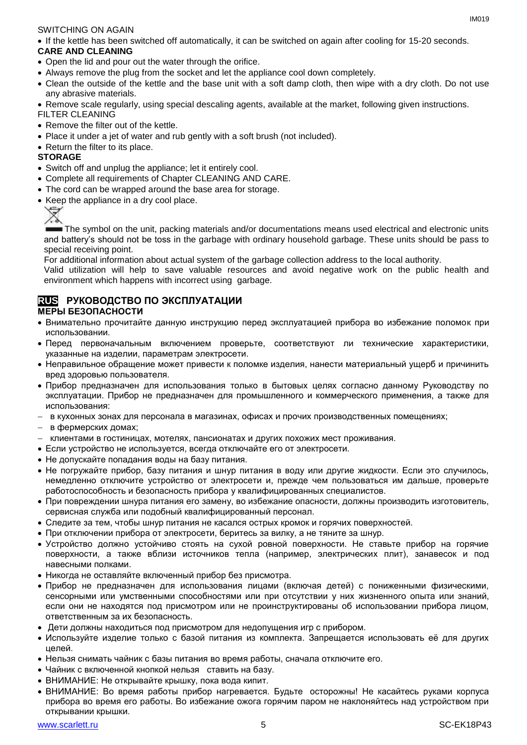#### SWITCHING ON AGAIN

If the kettle has been switched off automatically, it can be switched on again after cooling for 15-20 seconds.

#### **CARE AND CLEANING**

- Open the lid and pour out the water through the orifice.
- Always remove the plug from the socket and let the appliance cool down completely.
- Clean the outside of the kettle and the base unit with a soft damp cloth, then wipe with a dry cloth. Do not use any abrasive materials.
- Remove scale regularly, using special descaling agents, available at the market, following given instructions.

#### FILTER CLEANING

- Remove the filter out of the kettle.
- Place it under a jet of water and rub gently with a soft brush (not included).
- Return the filter to its place.

#### **STORAGE**

- Switch off and unplug the appliance; let it entirely cool.
- Complete all requirements of Chapter CLEANING AND CARE.
- The cord can be wrapped around the base area for storage.
- Keep the appliance in a dry cool place.



The symbol on the unit, packing materials and/or documentations means used electrical and electronic units and battery's should not be toss in the garbage with ordinary household garbage. These units should be pass to special receiving point.

For additional information about actual system of the garbage collection address to the local authority.

Valid utilization will help to save valuable resources and avoid negative work on the public health and environment which happens with incorrect using garbage.

#### **RUS РУКОВОДСТВО ПО ЭКСПЛУАТАЦИИ МЕРЫ БЕЗОПАСНОСТИ**

- Внимательно прочитайте данную инструкцию перед эксплуатацией прибора во избежание поломок при использовании.
- Перед первоначальным включением проверьте, соответствуют ли технические характеристики, указанные на изделии, параметрам электросети.
- Неправильное обращение может привести к поломке изделия, нанести материальный ущерб и причинить вред здоровью пользователя.
- Прибор предназначен для использования только в бытовых целях согласно данному Руководству по эксплуатации. Прибор не предназначен для промышленного и коммерческого применения, а также для использования:
- в кухонных зонах для персонала в магазинах, офисах и прочих производственных помещениях;
- в фермерских домах;
- клиентами в гостиницах, мотелях, пансионатах и других похожих мест проживания.
- Если устройство не используется, всегда отключайте его от электросети.
- Не допускайте попадания воды на базу питания.
- Не погружайте прибор, базу питания и шнур питания в воду или другие жидкости. Если это случилось, немедленно отключите устройство от электросети и, прежде чем пользоваться им дальше, проверьте работоспособность и безопасность прибора у квалифицированных специалистов.
- При повреждении шнура питания его замену, во избежание опасности, должны производить изготовитель, сервисная служба или подобный квалифицированный персонал.
- Следите за тем, чтобы шнур питания не касался острых кромок и горячих поверхностей.
- При отключении прибора от электросети, беритесь за вилку, а не тяните за шнур.
- Устройство должно устойчиво стоять на сухой ровной поверхности. Не ставьте прибор на горячие поверхности, а также вблизи источников тепла (например, электрических плит), занавесок и под навесными полками.
- Никогда не оставляйте включенный прибор без присмотра.
- Прибор не предназначен для использования лицами (включая детей) с пониженными физическими, сенсорными или умственными способностями или при отсутствии у них жизненного опыта или знаний, если они не находятся под присмотром или не проинструктированы об использовании прибора лицом, ответственным за их безопасность.
- Дети должны находиться под присмотром для недопущения игр с прибором.
- Используйте изделие только с базой питания из комплекта. Запрещается использовать её для других целей.
- Нельзя снимать чайник с базы питания во время работы, сначала отключите его.
- Чайник с включенной кнопкой нельзя ставить на базу.
- ВНИМАНИЕ: Не открывайте крышку, пока вода кипит.
- ВНИМАНИЕ: Во время работы прибор нагревается. Будьте осторожны! Не касайтесь руками корпуса прибора во время его работы. Во избежание ожога горячим паром не наклоняйтесь над устройством при открывании крышки.

 $IMA01Q$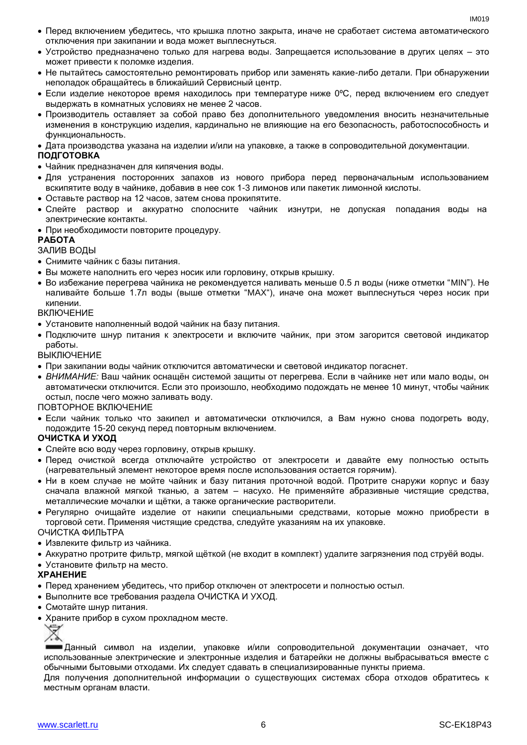- Перед включением убедитесь, что крышка плотно закрыта, иначе не сработает система автоматического отключения при закипании и вода может выплеснуться.
- Устройство предназначено только для нагрева воды. Запрещается использование в других целях это может привести к поломке изделия.
- Не пытайтесь самостоятельно ремонтировать прибор или заменять какие-либо детали. При обнаружении неполадок обращайтесь в ближайший Сервисный центр.
- Если изделие некоторое время находилось при температуре ниже 0ºC, перед включением его следует выдержать в комнатных условиях не менее 2 часов.
- Производитель оставляет за собой право без дополнительного уведомления вносить незначительные изменения в конструкцию изделия, кардинально не влияющие на его безопасность, работоспособность и функциональность.
- Дата производства указана на изделии и/или на упаковке, а также в сопроводительной документации.

#### **ПОДГОТОВКА**

- Чайник предназначен для кипячения воды.
- Для устранения посторонних запахов из нового прибора перед первоначальным использованием вскипятите воду в чайнике, добавив в нее сок 1-3 лимонов или пакетик лимонной кислоты.
- Оставьте раствор на 12 часов, затем снова прокипятите.
- Слейте раствор и аккуратно сполосните чайник изнутри, не допуская попадания воды на электрические контакты.
- При необходимости повторите процедуру.

#### **РАБОТА**

ЗАЛИВ ВОДЫ

- Снимите чайник с базы питания.
- Вы можете наполнить его через носик или горловину, открыв крышку.
- Во избежание перегрева чайника не рекомендуется наливать меньше 0.5 л воды (ниже отметки "MIN"). Не наливайте больше 1.7л воды (выше отметки "MAX"), иначе она может выплеснуться через носик при кипении.

ВКЛЮЧЕНИЕ

- Установите наполненный водой чайник на базу питания.
- Подключите шнур питания к электросети и включите чайник, при этом загорится световой индикатор работы.

ВЫКЛЮЧЕНИЕ

- При закипании воды чайник отключится автоматически и световой индикатор погаснет.
- *ВНИМАНИЕ:* Ваш чайник оснащён системой защиты от перегрева. Если в чайнике нет или мало воды, он автоматически отключится. Если это произошло, необходимо подождать не менее 10 минут, чтобы чайник остыл, после чего можно заливать воду.

ПОВТОРНОЕ ВКЛЮЧЕНИЕ

 Если чайник только что закипел и автоматически отключился, а Вам нужно снова подогреть воду, подождите 15-20 секунд перед повторным включением.

#### **ОЧИСТКА И УХОД**

- Слейте всю воду через горловину, открыв крышку.
- Перед очисткой всегда отключайте устройство от электросети и давайте ему полностью остыть (нагревательный элемент некоторое время после использования остается горячим).
- Ни в коем случае не мойте чайник и базу питания проточной водой. Протрите снаружи корпус и базу сначала влажной мягкой тканью, а затем – насухо. Не применяйте абразивные чистящие средства, металлические мочалки и щётки, а также органические растворители.
- Регулярно очищайте изделие от накипи специальными средствами, которые можно приобрести в торговой сети. Применяя чистящие средства, следуйте указаниям на их упаковке. ОЧИСТКА ФИЛЬТРА

• Извлеките фильтр из чайника.

Аккуратно протрите фильтр, мягкой щёткой (не входит в комплект) удалите загрязнения под струёй воды.

Установите фильтр на место.

#### **ХРАНЕНИЕ**

- Перед хранением убедитесь, что прибор отключен от электросети и полностью остыл.
- Выполните все требования раздела ОЧИСТКА И УХОД.
- Смотайте шнур питания.
- Храните прибор в сухом прохладном месте.

Данный символ на изделии, упаковке и/или сопроводительной документации означает, что использованные электрические и электронные изделия и батарейки не должны выбрасываться вместе с обычными бытовыми отходами. Их следует сдавать в специализированные пункты приема.

Для получения дополнительной информации о существующих системах сбора отходов обратитесь к местным органам власти.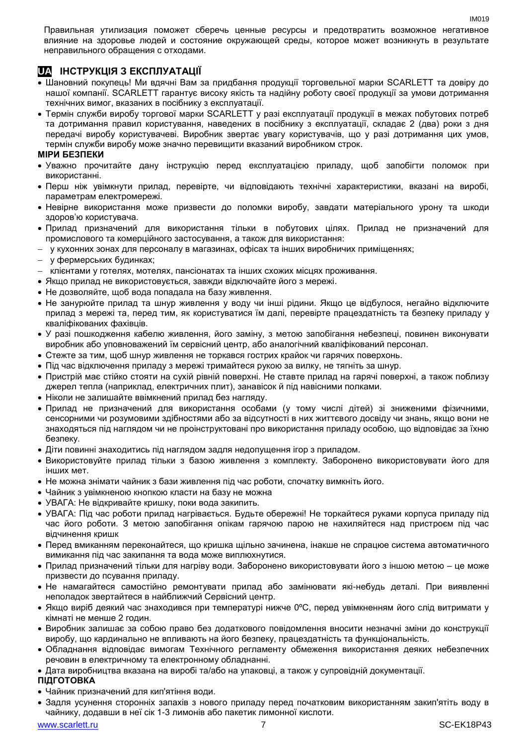Правильная утилизация поможет сберечь ценные ресурсы и предотвратить возможное негативное влияние на здоровье людей и состояние окружающей среды, которое может возникнуть в результате неправильного обращения с отходами.

#### **UA ІНСТРУКЦІЯ З ЕКСПЛУАТАЦІЇ**

- Шановний покупець! Ми вдячні Вам за придбання продукції торговельної марки SCARLETT та довіру до нашої компанії. SCARLETT гарантує високу якість та надійну роботу своєї продукції за умови дотримання технічних вимог, вказаних в посібнику з експлуатації.
- Термін служби виробу торгової марки SCARLETT у разі експлуатації продукції в межах побутових потреб та дотримання правил користування, наведених в посібнику з експлуатації, складає 2 (два) роки з дня передачі виробу користувачеві. Виробник звертає увагу користувачів, що у разі дотримання цих умов, термін служби виробу може значно перевищити вказаний виробником строк.

#### **МІРИ БЕЗПЕКИ**

- Уважно прочитайте дану інструкцію перед експлуатацією приладу, щоб запобігти поломок при використанні.
- Перш ніж увімкнути прилад, перевірте, чи відповідають технічні характеристики, вказані на виробі, параметрам електромережі.
- Невiрне використання може призвести до поломки виробу, завдати матеріального урону та шкоди здоров'ю користувача.
- Прилад призначений для використання тільки в побутових цілях. Прилад не призначений для промислового та комерційного застосування, а також для використання:
- у кухонних зонах для персоналу в магазинах, офісах та інших виробничих приміщеннях;
- у фермерських будинках;
- клієнтами у готелях, мотелях, пансіонатах та інших схожих місцях проживання.
- Якщо прилад не використовується, завжди відключайте його з мережі.
- Не дозволяйте, щоб вода попадала на базу живлення.
- Не занурюйте прилад та шнур живлення у воду чи інші рідини. Якщо це відбулося, негайно відключите прилад з мережі та, перед тим, як користуватися їм далі, перевірте працездатність та безпеку приладу у кваліфікованих фахівців.
- У разі пошкодження кабелю живлення, його заміну, з метою запобігання небезпеці, повинен виконувати виробник або уповноважений їм сервісний центр, або аналогічний кваліфікований персонал.
- Стежте за тим, щоб шнур живлення не торкався гострих крайок чи гарячих поверхонь.
- Пiд час відключення приладу з мережі тримайтеся рукою за вилку, не тягніть за шнур.
- Пристрій має стійко стояти на сухій рiвній поверхні. Не ставте прилад на гарячі поверхні, а також поблизу джерел тепла (наприклад, електричних плит), занавісок й під навісними полками.
- Ніколи не залишайте ввімкнений прилад без нагляду.
- Прилад не призначений для використання особами (у тому числі дітей) зі зниженими фізичними, сенсорними чи розумовими здібностями або за відсутності в них життєвого досвіду чи знань, якщо вони не знаходяться під наглядом чи не проінструктовані про використання приладу особою, що відповідає за їхню безпеку.
- Діти повинні знаходитись під наглядом задля недопущення ігор з приладом.
- Використовуйте прилад тільки з базою живлення з комплекту. Заборонено використовувати його для iнших мет.
- Не можна знімати чайник з бази живлення пiд час роботи, спочатку вимкніть його.
- Чайник з увімкненою кнопкою класти на базу не можна
- УВАГА: Не відкривайте кришку, поки вода закипить.
- УВАГА: Під час роботи прилад нагрівається. Будьте обережні! Не торкайтеся руками корпуса приладу під час його роботи. З метою запобігання опікам гарячою парою не нахиляйтеся над пристроєм під час відчинення кришк
- Перед вмиканням переконайтеся, що кришка щільно зачинена, інакше не спрацюе система автоматичного вимикання пiд час закипання та вода може виплюхнутися.
- Прилад призначений тільки для нагріву води. Заборонено використовувати його з іншою метою це може призвести до псування приладу.
- Не намагайтеся самостійно ремонтувати прилад або замінювати які-небудь деталі. При виявленні неполадок звертайтеся в найближчий Сервісний центр.
- Якщо виріб деякий час знаходився при температурі нижче 0ºC, перед увімкненням його слід витримати у кімнаті не менше 2 годин.
- Виробник залишає за собою право без додаткового повідомлення вносити незначні зміни до конструкції виробу, що кардинально не впливають на його безпеку, працездатність та функціональність.
- Обладнання відповідає вимогам Технічного регламенту обмеження використання деяких небезпечних речовин в електричному та електронному обладнанні.
- Дата виробництва вказана на виробі та/або на упаковці, а також у супровідній документації.

#### **ПІДГОТОВКА**

- Чайник призначений для кип'ятіння води.
- Задля усунення сторонніх запахів з нового приладу перед початковим використанням закип'ятіть воду в чайнику, додавши в неї сік 1-3 лимонів або пакетик лимонної кислоти.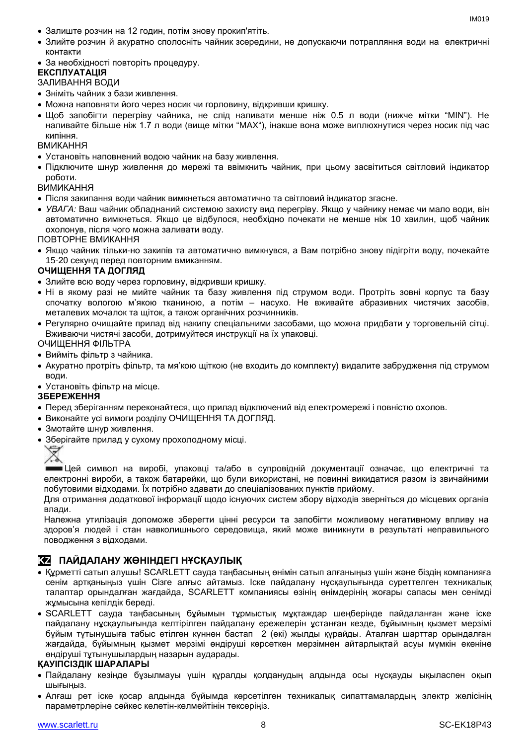- Залиште розчин на 12 годин, потім знову прокип'ятіть.
- Злийте розчин й акуратно сполосніть чайник зсередини, не допускаючи потрапляння води на електричні контакти
- За необхідності повторіть процедуру.

#### **ЕКСПЛУАТАЦІЯ**

#### ЗАЛИВАННЯ ВОДИ

- Зніміть чайник з бази живлення.
- Можна наповняти його через носик чи горловину, відкривши кришку.
- Щоб запобігти перегріву чайника, не слiд наливати менше ніж 0.5 л води (нижче мітки "MIN"). Не наливайте більше ніж 1.7 л води (вище мітки "MAX"), інакше вона може виплюхнутися через носик пiд час кипіння.

#### ВМИКАННЯ

- Установіть наповнений водою чайник на базу живлення.
- Підключите шнур живлення до мережі та ввімкнить чайник, при цьому засвітиться світловий індикатор роботи.

#### ВИМИКАННЯ

- Після закипання води чайник вимкнеться автоматично та світловий індикатор згасне.
- *УВАГА:* Ваш чайник обладнаний системою захисту вид перегріву. Якщо у чайнику немає чи мало води, він автоматично вимкнеться. Якщо це відбулося, необхідно почекати не менше ніж 10 хвилин, щоб чайник охолонув, після чого можна заливати воду.

ПОВТОРНЕ ВМИКАННЯ

 Якщо чайник тільки-но закипів та автоматично вимкнувся, а Вам потрібно знову підігріти воду, почекайте 15-20 секунд перед повторним вмиканням.

#### **ОЧИЩЕННЯ ТА ДОГЛЯД**

- Злийте всю воду через горловину, відкривши кришку.
- Ні в якому разі не мийте чайник та базу живлення під струмом води. Протріть зовні корпус та базу спочатку вологою м'якою тканиною, а потім – насухо. Не вживайте абразивних чистячих засобів, металевих мочалок та щіток, а також органічних розчинників.
- Регулярно очищайте прилад від накипу спеціальними засобами, що можна придбати у торговельній сітці. Вживаючи чистячі засоби, дотримуйтеся инструкції на їх упаковці.

ОЧИЩЕННЯ ФІЛЬТРА

- Вийміть фільтр з чайника.
- Акуратно протріть фільтр, та мя'кою щіткою (не входить до комплекту) видалите забрудження під струмом води.

Установіть фільтр на місце.

#### **ЗБЕРЕЖЕННЯ**

- Перед зберіганням переконайтеся, що прилад відключений від електромережі і повністю охолов.
- Виконайте усі вимоги розділу ОЧИЩЕННЯ ТА ДОГЛЯД.
- Змотайте шнур живлення.
- Зберігайте прилад у сухому прохолодному місці.



Цей символ на виробі, упаковці та/або в супровідній документації означає, що електричні та електронні вироби, а також батарейки, що були використані, не повинні викидатися разом із звичайними побутовими відходами. Їх потрібно здавати до спеціалізованих пунктів прийому.

Для отримання додаткової інформації щодо існуючих систем збору відходів зверніться до місцевих органів влади.

Належна утилізація допоможе зберегти цінні ресурси та запобігти можливому негативному впливу на здоров'я людей і стан навколишнього середовища, який може виникнути в результаті неправильного поводження з відходами.

#### **KZ ПАЙДАЛАНУ ЖӨНІНДЕГІ НҰСҚАУЛЫҚ**

- Құрметті сатып алушы! SCARLETT сауда таңбасының өнімін сатып алғаныңыз үшін және біздің компанияға сенім артқаныңыз үшін Сізге алғыс айтамыз. Іске пайдалану нұсқаулығында суреттелген техникалық талаптар орындалған жағдайда, SCARLETT компаниясы өзінің өнімдерінің жоғары сапасы мен сенімді жұмысына кепілдік береді.
- SCARLETT сауда таңбасының бұйымын тұрмыстық мұқтаждар шеңберінде пайдаланған және іске пайдалану нұсқаулығында келтірілген пайдалану ережелерін ұстанған кезде, бұйымның қызмет мерзімі бұйым тұтынушыға табыс етілген күннен бастап 2 (екі) жылды құрайды. Аталған шарттар орындалған жағдайда, бұйымның қызмет мерзімі өндіруші көрсеткен мерзімнен айтарлықтай асуы мүмкін екеніне өндіруші тұтынушылардың назарын аударады.

#### **ҚАУІПСІЗДІК ШАРАЛАРЫ**

- Пайдалану кезінде бұзылмауы үшін құралды қолданудың алдында осы нұсқауды ықыласпен оқып шығыңыз.
- Алғаш рет іске қосар алдында бұйымда көрсетілген техникалық сипаттамалардың электр желісінің параметрлеріне сәйкес келетін-келмейтінін тексеріңіз.

 $INAO1Q$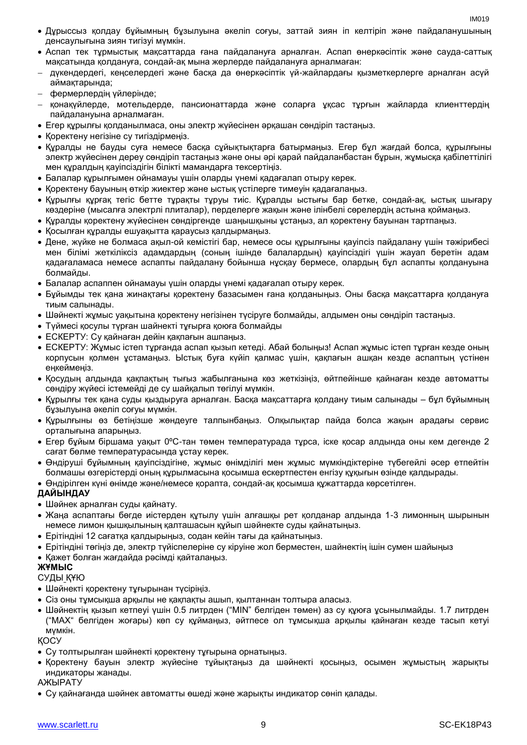- Дұрыссыз қолдау бұйымның бұзылуына әкеліп соғуы, заттай зиян іп келтіріп және пайдаланушының денсаулығына зиян тигізуі мүмкін.
- Аспап тек тұрмыстық мақсаттарда ғана пайдалануға арналған. Аспап өнеркәсіптік және сауда-саттық мақсатында қолдануға, сондай-ақ мына жерлерде пайдалануға арналмаған:
- дүкендердегі, кеңселердегі және басқа да өнеркәсіптік үй-жайлардағы қызметкерлерге арналған асүй аймақтарында;
- фермерлердің үйлерінде;
- қонақүйлерде, мотельдерде, пансионаттарда және соларға ұқсас тұрғын жайларда клиенттердің пайдалануына арналмаған.
- Егер құрылғы қолданылмаса, оны электр жүйесінен әрқашан сөндіріп тастаңыз.
- Қоректену негізіне су тигіздірмеңіз.
- Құралды не бауды суға немесе басқа сұйықтықтарға батырмаңыз. Егер бұл жағдай болса, құрылғыны электр жүйесінен дереу сөндіріп тастаңыз және оны әрі қарай пайдаланбастан бұрын, жұмысқа қабілеттілігі мен құралдың қауіпсіздігін білікті мамандарға тексертіңіз.
- Балалар құрылғымен ойнамауы үшін оларды үнемі қадағалап отыру керек.
- Қоректену бауының өткір жиектер және ыстық үстілерге тимеуін қадағалаңыз.
- Құрылғы құрғақ тегіс бетте тұрақты тұруы тиіс. Құралды ыстығы бар бетке, сондай-ақ, ыстық шығару көздеріне (мысалға электрлі плиталар), перделерге жақын және ілінбелі сөрелердің астына қоймаңыз.
- Құралды қоректену жүйесінен сөндіргенде шаңышқыны ұстаңыз, ал қоректену бауынан тартпаңыз.
- Қосылған құралды ешуақытта қараусыз қалдырмаңыз.
- Дене, жүйке не болмаса ақыл-ой кемістігі бар, немесе осы құрылғыны қауіпсіз пайдалану үшін тәжірибесі мен білімі жеткіліксіз адамдардың (соның ішінде балалардың) қауіпсіздігі үшін жауап беретін адам қадағаламаса немесе аспапты пайдалану бойынша нұсқау бермесе, олардың бұл аспапты қолдануына болмайды.
- Балалар аспаппен ойнамауы үшін оларды үнемі қадағалап отыру керек.
- Бұйымды тек қана жинақтағы қоректену базасымен ғана қолданыңыз. Оны басқа мақсаттарға қолдануға тиым салынады.
- Шәйнекті жұмыс уақытына қоректену негізінен түсіруге болмайды, алдымен оны сөндіріп тастаңыз.
- Түймесі қосулы түрған шайнекті тұғырға қоюға болмайды
- ЕСКЕРТУ: Су қайнаған дейін қақпағын ашпаңыз.
- ЕСКЕРТУ: Жұмыс істеп тұрғанда аспап қызып кетеді. Абай болыңыз! Аспап жұмыс істеп тұрған кезде оның корпусын қолмен ұстамаңыз. Ыстық буға күйіп қалмас үшін, қақпағын ашқан кезде аспаптың үстінен еңкеймеңіз.
- Қосудың алдында қақпақтың тығыз жабылғанына көз жеткізіңіз, өйтпейінше қайнаған кезде автоматты сөндіру жүйесі істемейді де су шайқалып төгілуі мүмкін.
- Құрылғы тек қана суды қыздыруға арналған. Басқа мақсаттарға қолдану тиым салынады бұл бұйымның бұзылуына әкеліп соғуы мүмкін.
- Құрылғыны өз бетіңізше жөндеуге талпынбаңыз. Олқылықтар пайда болса жақын арадағы сервис орталығына апарыңыз.
- Егер бұйым біршама уақыт 0ºC-тан төмен температурада тұрса, іске қосар алдында оны кем дегенде 2 сағат бөлме температурасында ұстау керек.
- Өндіруші бұйымның қауіпсіздігіне, жұмыс өнімділігі мен жұмыс мүмкіндіктеріне түбегейлі әсер етпейтін болмашы өзгерістерді оның құрылмасына қосымша ескертпестен енгізу құқығын өзінде қалдырады.
- Өндірілген күні өнімде және/немесе қорапта, сондай-ақ қосымша құжаттарда көрсетілген.

#### **ДАЙЫНДАУ**

- Шәйнек арналған суды қайнату.
- Жаңа аспаптағы бөгде иістерден құтылу үшін алғашқы рет қолданар алдында 1-3 лимонның шырынын немесе лимон қышқылының қалташасын құйып шәйнекте суды қайнатыңыз.
- Ерітіндіні 12 сағатқа қалдырыңыз, содан кейін тағы да қайнатыңыз.
- Ерітіндіні төгіңіз де, электр түйіспелеріне су кіруіне жол берместен, шайнектің ішін сумен шайыңыз
- Қажет болған жағдайда рәсімді қайталаңыз.

#### **ЖҰМЫС**

#### СУДЫ ҚҰЮ

- Шәйнекті қоректену тұғырынан түсіріңіз.
- Сіз оны тұмсықша арқылы не қақпақты ашып, қылтаннан толтыра алаcыз.
- Шәйнектің қызып кетпеуі үшін 0.5 литрден ("MIN" белгіден төмен) аз су құюға ұсынылмайды. 1.7 литрден ("MAX" белгіден жоғары) көп су құймаңыз, әйтпесе ол тұмсықша арқылы қайнаған кезде тасып кетуі мүмкін.

ҚОСУ

- Су толтырылған шәйнекті қоректену тұғырына орнатыңыз.
- Қоректену бауын электр жүйесіне тұйықтаңыз да шәйнекті қосыңыз, осымен жұмыстың жарықты индикаторы жанады.

АЖЫРАТУ

Су қайнағанда шәйнек автоматты өшеді және жарықты индикатор сөніп қалады.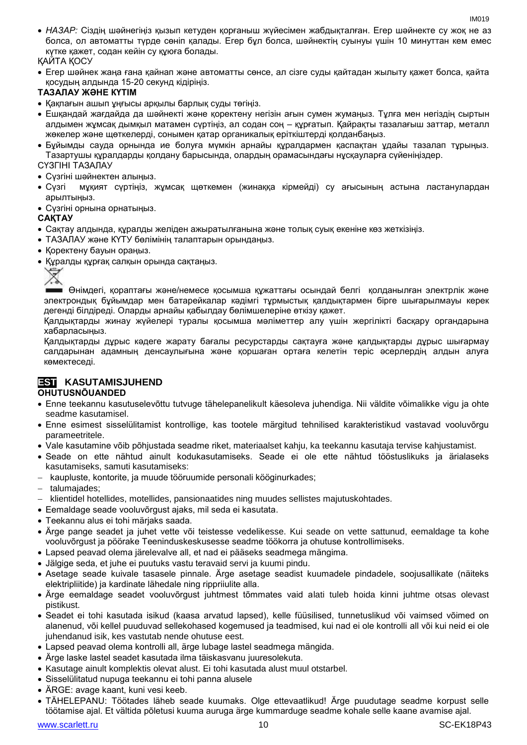*НАЗАР:* Сіздің шәйнегіңіз қызып кетуден қорғаныш жүйесімен жабдықталған. Егер шәйнекте су жоқ не аз болса, ол автоматты түрде сөніп қалады. Егер бұл болса, шәйнектің суынуы үшін 10 минуттан кем емес күтке қажет, содан кейін су құюға болады.

#### ҚАЙТА ҚОСУ

 Егер шәйнек жаңа ғана қайнап және автоматты сөнсе, ал сізге суды қайтадан жылыту қажет болса, қайта қосудың алдында 15-20 секунд кідіріңіз.

#### **ТАЗАЛАУ ЖӘНЕ КҮТІМ**

- Қақпағын ашып ұңғысы арқылы барлық суды төгіңіз.
- Ешқандай жағдайда да шәйнекті және қоректену негізін ағын сумен жумаңыз. Тұлға мен негіздің сыртын алдымен жұмсақ дымқыл матамен сүртіңіз, ал содан соң – құрғатып. Қайрақты тазалағыш заттар, металл жөкелер және щөткелерді, сонымен қатар органикалық еріткіштерді қолданбаңыз.
- Бұйымды сауда орнында ие болуға мүмкін арнайы құралдармен қаспақтан ұдайы тазалап тұрыңыз. Тазартушы құралдарды қолдану барысында, олардың орамасындағы нұсқауларға сүйеніңіздер.

#### СҮЗГІНІ ТАЗАЛАУ

- Сүзгіні шәйнектен алыңыз.
- Сүзгі мұқият сүртіңіз, жұмсақ щөткемен (жинаққа кірмейді) су ағысының астына ластанулардан арылтыңыз.
- Сүзгіні орнына орнатыңыз.

#### **САҚТАУ**

- Cақтау алдында, құралды желіден ажыратылғанына және толық суық екеніне көз жеткізіңіз.
- ТАЗАЛАУ және КҮТУ бөлімінің талаптарын орындаңыз.
- Коректену бауын ораныз.
- Құралды құрғақ салқын орында сақтаңыз.



Өнімдегі, қораптағы және/немесе қосымша құжаттағы осындай белгі қолданылған электрлік және электрондық бұйымдар мен батарейкалар кәдімгі тұрмыстық қалдықтармен бірге шығарылмауы керек дегенді білдіреді. Оларды арнайы қабылдау бөлімшелеріне өткізу қажет.

Қалдықтарды жинау жүйелері туралы қосымша мәліметтер алу үшін жергілікті басқару органдарына хабарласыңыз.

Қалдықтарды дұрыс кәдеге жарату бағалы ресурстарды сақтауға және қалдықтарды дұрыс шығармау салдарынан адамның денсаулығына және қоршаған ортаға келетін теріс әсерлердің алдын алуға көмектеседі.

#### **EST KASUTAMISJUHEND**

#### **OHUTUSNÕUANDED**

- Enne teekannu kasutuselevõttu tutvuge tähelepanelikult käesoleva juhendiga. Nii väldite võimalikke vigu ja ohte seadme kasutamisel.
- Enne esimest sisselülitamist kontrollige, kas tootele märgitud tehnilised karakteristikud vastavad vooluvõrgu parameetritele.
- Vale kasutamine võib põhjustada seadme riket, materiaalset kahju, ka teekannu kasutaja tervise kahjustamist.
- Seade on ette nähtud ainult kodukasutamiseks. Seade ei ole ette nähtud tööstuslikuks ja ärialaseks kasutamiseks, samuti kasutamiseks:
- kaupluste, kontorite, ja muude tööruumide personali kööginurkades;
- talumajades;
- klientidel hotellides, motellides, pansionaatides ning muudes sellistes majutuskohtades.
- Eemaldage seade vooluvõrgust ajaks, mil seda ei kasutata.
- Teekannu alus ei tohi märjaks saada.
- Ärge pange seadet ja juhet vette või teistesse vedelikesse. Kui seade on vette sattunud, eemaldage ta kohe vooluvõrgust ja pöörake Teeninduskeskusesse seadme töökorra ja ohutuse kontrollimiseks.
- Lapsed peavad olema järelevalve all, et nad ei pääseks seadmega mängima.
- Jälgige seda, et juhe ei puutuks vastu teravaid servi ja kuumi pindu.
- Asetage seade kuivale tasasele pinnale. Ärge asetage seadist kuumadele pindadele, soojusallikate (näiteks elektripliitide) ja kardinate lähedale ning rippriiulite alla.
- Ärge eemaldage seadet vooluvõrgust juhtmest tõmmates vaid alati tuleb hoida kinni juhtme otsas olevast pistikust.
- Seadet ei tohi kasutada isikud (kaasa arvatud lapsed), kelle füüsilised, tunnetuslikud või vaimsed võimed on alanenud, või kellel puuduvad sellekohased kogemused ja teadmised, kui nad ei ole kontrolli all või kui neid ei ole juhendanud isik, kes vastutab nende ohutuse eest.
- Lapsed peavad olema kontrolli all, ärge lubage lastel seadmega mängida.
- Ärge laske lastel seadet kasutada ilma täiskasvanu juuresolekuta.
- Kasutage ainult komplektis olevat alust. Ei tohi kasutada alust muul otstarbel.
- Sisselülitatud nupuga teekannu ei tohi panna alusele
- ÄRGE: avage kaant, kuni vesi keeb.
- TÄHELEPANU: Töötades läheb seade kuumaks. Olge ettevaatlikud! Ärge puudutage seadme korpust selle töötamise ajal. Et vältida põletusi kuuma auruga ärge kummarduge seadme kohale selle kaane avamise ajal.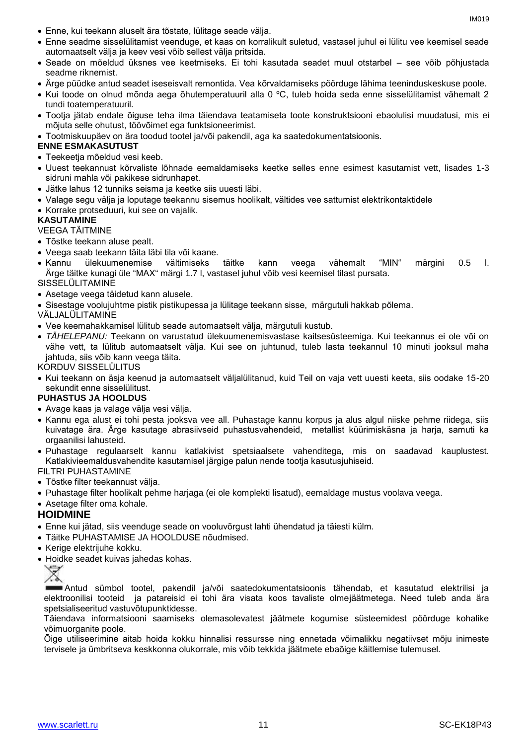- Enne, kui teekann aluselt ära tõstate, lülitage seade välja.
- Enne seadme sisselülitamist veenduge, et kaas on korralikult suletud, vastasel juhul ei lülitu vee keemisel seade automaatselt välja ja keev vesi võib sellest välja pritsida.
- Seade on mõeldud üksnes vee keetmiseks. Ei tohi kasutada seadet muul otstarbel see võib põhjustada seadme riknemist.
- Ärge püüdke antud seadet iseseisvalt remontida. Vea kõrvaldamiseks pöörduge lähima teeninduskeskuse poole.
- Kui toode on olnud mõnda aega õhutemperatuuril alla 0 ºC, tuleb hoida seda enne sisselülitamist vähemalt 2 tundi toatemperatuuril.
- Tootja jätab endale õiguse teha ilma täiendava teatamiseta toote konstruktsiooni ebaolulisi muudatusi, mis ei mõjuta selle ohutust, töövõimet ega funktsioneerimist.
- Tootmiskuupäev on ära toodud tootel ja/või pakendil, aga ka saatedokumentatsioonis.

#### **ENNE ESMAKASUTUST**

- Teekeetja mõeldud vesi keeb.
- Uuest teekannust kõrvaliste lõhnade eemaldamiseks keetke selles enne esimest kasutamist vett, lisades 1-3 sidruni mahla või pakikese sidrunhapet.
- Jätke lahus 12 tunniks seisma ja keetke siis uuesti läbi.
- Valage segu välja ja loputage teekannu sisemus hoolikalt, vältides vee sattumist elektrikontaktidele
- Korrake protseduuri, kui see on vajalik.

#### **KASUTAMINE**

#### VEEGA TÄITMINE

- Tõstke teekann aluse pealt.
- Veega saab teekann täita läbi tila või kaane.
- Kannu ülekuumenemise vältimiseks täitke kann veega vähemalt "MIN" märgini 0.5 l. Ärge täitke kunagi üle "MAX" märgi 1.7 l, vastasel juhul võib vesi keemisel tilast pursata.

SISSELÜLITAMINE

- Asetage veega täidetud kann alusele.
- Sisestage voolujuhtme pistik pistikupessa ja lülitage teekann sisse, märgutuli hakkab põlema.

VÄLJALÜLITAMINE

- Vee keemahakkamisel lülitub seade automaatselt välja, märgutuli kustub.
- *TÄHELEPANU:* Teekann on varustatud ülekuumenemisvastase kaitsesüsteemiga. Kui teekannus ei ole või on vähe vett, ta lülitub automaatselt välja. Kui see on juhtunud, tuleb lasta teekannul 10 minuti jooksul maha jahtuda, siis võib kann veega täita.

KORDUV SISSELÜLITUS

 Kui teekann on äsja keenud ja automaatselt väljalülitanud, kuid Teil on vaja vett uuesti keeta, siis oodake 15-20 sekundit enne sisselülitust.

#### **PUHASTUS JA HOOLDUS**

- Avage kaas ja valage välja vesi välja.
- Kannu ega alust ei tohi pesta jooksva vee all. Puhastage kannu korpus ja alus algul niiske pehme riidega, siis kuivatage ära. Ärge kasutage abrasiivseid puhastusvahendeid, metallist küürimiskäsna ja harja, samuti ka orgaanilisi lahusteid.
- Puhastage regulaarselt kannu katlakivist spetsiaalsete vahenditega, mis on saadavad kauplustest. Katlakivieemaldusvahendite kasutamisel järgige palun nende tootja kasutusjuhiseid.

FILTRI PUHASTAMINE

- Tõstke filter teekannust välja.
- Puhastage filter hoolikalt pehme harjaga (ei ole komplekti lisatud), eemaldage mustus voolava veega.
- Asetage filter oma kohale.

#### **HOIDMINE**

- Enne kui jätad, siis veenduge seade on vooluvõrgust lahti ühendatud ja täiesti külm.
- Täitke PUHASTAMISE JA HOOLDUSE nõudmised.
- Kerige elektrijuhe kokku.
- Hoidke seadet kuivas jahedas kohas.



Antud sümbol tootel, pakendil ja/või saatedokumentatsioonis tähendab, et kasutatud elektrilisi ja elektroonilisi tooteid ja patareisid ei tohi ära visata koos tavaliste olmejäätmetega. Need tuleb anda ära spetsialiseeritud vastuvõtupunktidesse.

Täiendava informatsiooni saamiseks olemasolevatest jäätmete kogumise süsteemidest pöörduge kohalike võimuorganite poole.

Õige utiliseerimine aitab hoida kokku hinnalisi ressursse ning ennetada võimalikku negatiivset mõju inimeste tervisele ja ümbritseva keskkonna olukorrale, mis võib tekkida jäätmete ebaõige käitlemise tulemusel.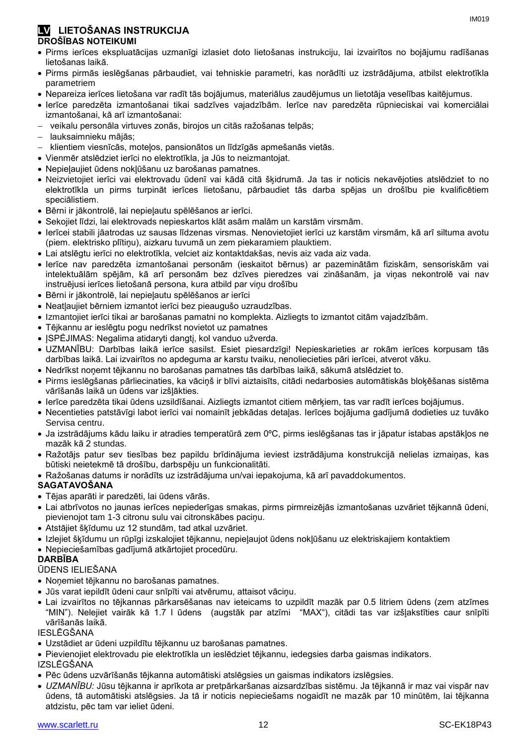#### **LV LIETOŠANAS INSTRUKCIJA DROŠĪBAS NOTEIKUMI**

- Pirms ierīces ekspluatācijas uzmanīgi izlasiet doto lietošanas instrukciju, lai izvairītos no bojājumu radīšanas lietošanas laikā.
- Pirms pirmās ieslēgšanas pārbaudiet, vai tehniskie parametri, kas norādīti uz izstrādājuma, atbilst elektrotīkla parametriem
- Nepareiza ierīces lietošana var radīt tās bojājumus, materiālus zaudējumus un lietotāja veselības kaitējumus.
- Ierīce paredzēta izmantošanai tikai sadzīves vajadzībām. Ierīce nav paredzēta rūpnieciskai vai komerciālai izmantošanai, kā arī izmantošanai:
- veikalu personāla virtuves zonās, birojos un citās ražošanas telpās;
- lauksaimnieku mājās;
- klientiem viesnīcās, moteļos, pansionātos un līdzīgās apmešanās vietās.
- Vienmēr atslēdziet ierīci no elektrotīkla, ja Jūs to neizmantojat.
- Nepieļaujiet ūdens nokļūšanu uz barošanas pamatnes.
- Neizvietojiet ierīci vai elektrovadu ūdenī vai kādā citā šķidrumā. Ja tas ir noticis nekavējoties atslēdziet to no elektrotīkla un pirms turpināt ierīces lietošanu, pārbaudiet tās darba spējas un drošību pie kvalificētiem speciālistiem.
- Bērni ir jākontrolē, lai nepieļautu spēlēšanos ar ierīci.
- Sekojiet līdzi, lai elektrovads nepieskartos klāt asām malām un karstām virsmām.
- Ierīcei stabili jāatrodas uz sausas līdzenas virsmas. Nenovietojiet ierīci uz karstām virsmām, kā arī siltuma avotu (piem. elektrisko plītiņu), aizkaru tuvumā un zem piekaramiem plauktiem.
- Lai atslēgtu ierīci no elektrotīkla, velciet aiz kontaktdakšas, nevis aiz vada aiz vada.
- Ierīce nav paredzēta izmantošanai personām (ieskaitot bērnus) ar pazeminātām fiziskām, sensoriskām vai intelektuālām spējām, kā arī personām bez dzīves pieredzes vai zināšanām, ja viņas nekontrolē vai nav instruējusi ierīces lietošanā persona, kura atbild par viņu drošību
- Bērni ir jākontrolē, lai nepieļautu spēlēšanos ar ierīci
- Neatļaujiet bērniem izmantot ierīci bez pieaugušo uzraudzības.
- Izmantojiet ierīci tikai ar barošanas pamatni no komplekta. Aizliegts to izmantot citām vajadzībām.
- Tējkannu ar ieslēgtu pogu nedrīkst novietot uz pamatnes
- JSPĖJIMAS: Negalima atidaryti dangtį, kol vanduo užverda.
- UZMANĪBU: Darbības laikā ierīce sasilst. Esiet piesardzīgi! Nepieskarieties ar rokām ierīces korpusam tās darbības laikā. Lai izvairītos no apdeguma ar karstu tvaiku, nenoliecieties pāri ierīcei, atverot vāku.
- Nedrīkst noņemt tējkannu no barošanas pamatnes tās darbības laikā, sākumā atslēdziet to.
- Pirms ieslēgšanas pārliecinaties, ka vāciņš ir blīvi aiztaisīts, citādi nedarbosies automātiskās bloķēšanas sistēma vārīšanās laikā un ūdens var izšļākties.
- Ierīce paredzēta tikai ūdens uzsildīšanai. Aizliegts izmantot citiem mērķiem, tas var radīt ierīces bojājumus.
- Necentieties patstāvīgi labot ierīci vai nomainīt jebkādas detaļas. Ierīces bojājuma gadījumā dodieties uz tuvāko Servisa centru.
- Ja izstrādājums kādu laiku ir atradies temperatūrā zem 0ºC, pirms ieslēgšanas tas ir jāpatur istabas apstākļos ne mazāk kā 2 stundas.
- Ražotājs patur sev tiesības bez papildu brīdinājuma ieviest izstrādājuma konstrukcijā nelielas izmaiņas, kas būtiski neietekmē tā drošību, darbspēju un funkcionalitāti.
- Ražošanas datums ir norādīts uz izstrādājuma un/vai iepakojuma, kā arī pavaddokumentos.

#### **SAGATAVOŠANA**

- Tējas aparāti ir paredzēti, lai ūdens vārās.
- Lai atbrīvotos no jaunas ierīces nepiederīgas smakas, pirms pirmreizējās izmantošanas uzvāriet tējkannā ūdeni, pievienojot tam 1-3 citronu sulu vai citronskābes paciņu.
- Atstājiet šķīdumu uz 12 stundām, tad atkal uzvāriet.
- Izlejiet šķīdumu un rūpīgi izskalojiet tējkannu, nepieļaujot ūdens nokļūšanu uz elektriskajiem kontaktiem
- Nepieciešamības gadījumā atkārtojiet procedūru.

#### **DARBĪBA**

#### ŪDENS IELIEŠANA

- Noņemiet tējkannu no barošanas pamatnes.
- Jūs varat iepildīt ūdeni caur snīpīti vai atvērumu, attaisot vāciņu.
- Lai izvairītos no tējkannas pārkarsēšanas nav ieteicams to uzpildīt mazāk par 0.5 litriem ūdens (zem atzīmes "MIN"). Nelejiet vairāk kā 1.7 l ūdens (augstāk par atzīmi "MAX"), citādi tas var izšļakstīties caur snīpīti vārīšanās laikā.

#### IESLĒGŠANA

- Uzstādiet ar ūdeni uzpildītu tējkannu uz barošanas pamatnes.
- Pievienojiet elektrovadu pie elektrotīkla un ieslēdziet tējkannu, iedegsies darba gaismas indikators.
- IZSLĒGŠANA
- Pēc ūdens uzvārīšanās tējkanna automātiski atslēgsies un gaismas indikators izslēgsies.
- *UZMANĪBU:* Jūsu tējkanna ir aprīkota ar pretpārkaršanas aizsardzības sistēmu. Ja tējkannā ir maz vai vispār nav ūdens, tā automātiski atslēgsies. Ja tā ir noticis nepieciešams nogaidīt ne mazāk par 10 minūtēm, lai tējkanna atdzistu, pēc tam var ieliet ūdeni.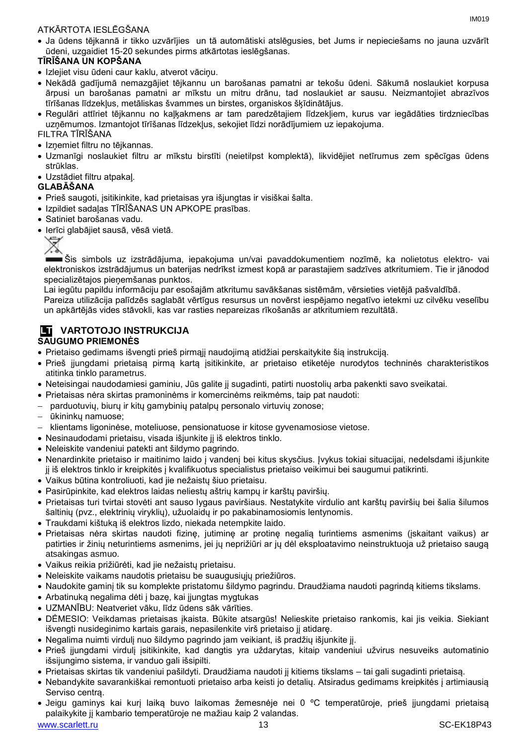#### ATKĀRTOTA IESLĒGŠANA

 Ja ūdens tējkannā ir tikko uzvārījies un tā automātiski atslēgusies, bet Jums ir nepieciešams no jauna uzvārīt ūdeni, uzgaidiet 15-20 sekundes pirms atkārtotas ieslēgšanas.

#### **TĪRĪŠANA UN KOPŠANA**

- Izlejiet visu ūdeni caur kaklu, atverot vāciņu.
- Nekādā gadījumā nemazgājiet tējkannu un barošanas pamatni ar tekošu ūdeni. Sākumā noslaukiet korpusa ārpusi un barošanas pamatni ar mīkstu un mitru drānu, tad noslaukiet ar sausu. Neizmantojiet abrazīvos tīrīšanas līdzekļus, metāliskas švammes un birstes, organiskos šķīdinātājus.
- Regulāri attīriet tējkannu no kaļķakmens ar tam paredzētajiem līdzekļiem, kurus var iegādāties tirdzniecības uzņēmumos. Izmantojot tīrīšanas līdzekļus, sekojiet līdzi norādījumiem uz iepakojuma.

FILTRA TĪRĪŠANA

- Izņemiet filtru no tējkannas.
- Uzmanīgi noslaukiet filtru ar mīkstu birstīti (neietilpst komplektā), likvidējiet netīrumus zem spēcīgas ūdens strūklas.
- Uzstādiet filtru atpakaļ.

#### **GLABĀŠANA**

- Prieš saugoti, įsitikinkite, kad prietaisas yra išjungtas ir visiškai šalta.
- Izpildiet sadaļas TĪRĪŠANAS UN APKOPE prasības.
- Satiniet barošanas vadu.
- Ierīci glabājiet sausā, vēsā vietā.

Šis simbols uz izstrādājuma, iepakojuma un/vai pavaddokumentiem nozīmē, ka nolietotus elektro- vai elektroniskos izstrādājumus un baterijas nedrīkst izmest kopā ar parastajiem sadzīves atkritumiem. Tie ir jānodod specializētajos pieņemšanas punktos.

Lai iegūtu papildu informāciju par esošajām atkritumu savākšanas sistēmām, vērsieties vietējā pašvaldībā.

Pareiza utilizācija palīdzēs saglabāt vērtīgus resursus un novērst iespējamo negatīvo ietekmi uz cilvēku veselību un apkārtējās vides stāvokli, kas var rasties nepareizas rīkošanās ar atkritumiem rezultātā.

#### **LT VARTOTOJO INSTRUKCIJA SAUGUMO PRIEMONĖS**

- Prietaiso gedimams išvengti prieš pirmąjį naudojimą atidžiai perskaitykite šią instrukciją.
- Prieš įjungdami prietaisą pirmą kartą įsitikinkite, ar prietaiso etiketėje nurodytos techninės charakteristikos atitinka tinklo parametrus.
- Neteisingai naudodamiesi gaminiu, Jūs galite jį sugadinti, patirti nuostolių arba pakenkti savo sveikatai.
- Prietaisas nėra skirtas pramoninėms ir komercinėms reikmėms, taip pat naudoti:
- parduotuvių, biurų ir kitų gamybinių patalpų personalo virtuvių zonose;
- ūkininkų namuose;
- klientams ligoninėse, moteliuose, pensionatuose ir kitose gyvenamosiose vietose.
- Nesinaudodami prietaisu, visada išjunkite jį iš elektros tinklo.
- Neleiskite vandeniui patekti ant šildymo pagrindo.
- Nenardinkite prietaiso ir maitinimo laido į vandenį bei kitus skysčius. Įvykus tokiai situacijai, nedelsdami išjunkite jį iš elektros tinklo ir kreipkitės į kvalifikuotus specialistus prietaiso veikimui bei saugumui patikrinti.
- Vaikus būtina kontroliuoti, kad jie nežaistų šiuo prietaisu.
- Pasirūpinkite, kad elektros laidas neliestų aštrių kampų ir karštų paviršių.
- Prietaisas turi tvirtai stovėti ant sauso lygaus paviršiaus. Nestatykite virdulio ant karštų paviršių bei šalia šilumos šaltinių (pvz., elektrinių viryklių), užuolaidų ir po pakabinamosiomis lentynomis.
- Traukdami kištuką iš elektros lizdo, niekada netempkite laido.
- Prietaisas nėra skirtas naudoti fizinę, jutiminę ar protinę negalią turintiems asmenims (įskaitant vaikus) ar patirties ir žinių neturintiems asmenims, jei jų neprižiūri ar jų dėl eksploatavimo neinstruktuoja už prietaiso saugą atsakingas asmuo.
- Vaikus reikia prižiūrėti, kad jie nežaistų prietaisu.
- Neleiskite vaikams naudotis prietaisu be suaugusiųjų priežiūros.
- Naudokite gaminį tik su komplekte pristatomu šildymo pagrindu. Draudžiama naudoti pagrindą kitiems tikslams.
- Arbatinuką negalima dėti į bazę, kai įjungtas mygtukas
- UZMANĪBU: Neatveriet vāku, līdz ūdens sāk vārīties.
- DĖMESIO: Veikdamas prietaisas įkaista. Būkite atsargūs! Nelieskite prietaiso rankomis, kai jis veikia. Siekiant išvengti nusideginimo kartais garais, nepasilenkite virš prietaiso jį atidarę.
- Negalima nuimti virdulį nuo šildymo pagrindo jam veikiant, iš pradžių išjunkite jį.
- Prieš įjungdami virdulį įsitikinkite, kad dangtis yra uždarytas, kitaip vandeniui užvirus nesuveiks automatinio išsijungimo sistema, ir vanduo gali išsipilti.
- Prietaisas skirtas tik vandeniui pašildyti. Draudžiama naudoti jį kitiems tikslams tai gali sugadinti prietaisą.
- Nebandykite savarankiškai remontuoti prietaiso arba keisti jo detalių. Atsiradus gedimams kreipkitės į artimiausią Serviso centrą.
- www.scarlett.ru 13 SC-EK18P43 Jeigu gaminys kai kurį laiką buvo laikomas žemesnėje nei 0 ºC temperatūroje, prieš įjungdami prietaisą palaikykite jį kambario temperatūroje ne mažiau kaip 2 valandas.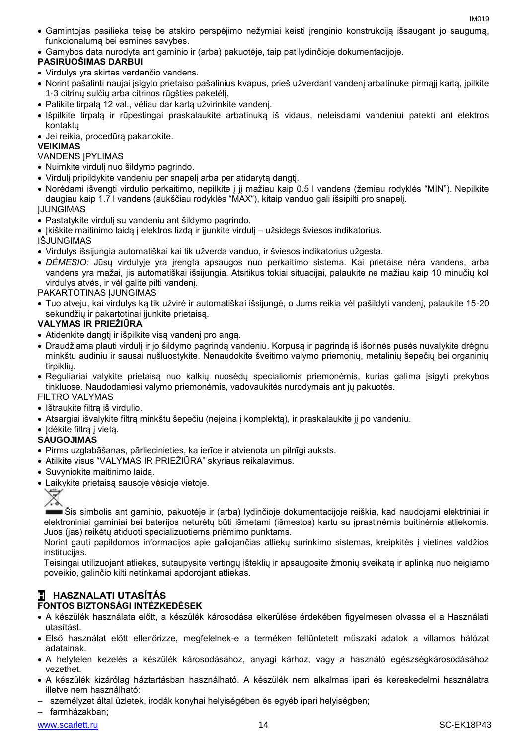- Gamintojas pasilieka teisę be atskiro perspėjimo nežymiai keisti įrenginio konstrukciją išsaugant jo saugumą, funkcionalumą bei esmines savybes.
- Gamybos data nurodyta ant gaminio ir (arba) pakuotėje, taip pat lydinčioje dokumentacijoje.

#### **PASIRUOŠIMAS DARBUI**

- Virdulys yra skirtas verdančio vandens.
- Norint pašalinti naujai įsigyto prietaiso pašalinius kvapus, prieš užverdant vandenį arbatinuke pirmąjį kartą, įpilkite 1-3 citrinų sulčių arba citrinos rūgšties paketėlį.
- Palikite tirpalą 12 val., vėliau dar kartą užvirinkite vandenį.
- Išpilkite tirpalą ir rūpestingai praskalaukite arbatinuką iš vidaus, neleisdami vandeniui patekti ant elektros kontaktų
- Jei reikia, procedūrą pakartokite.

#### **VEIKIMAS**

VANDENS IPYLIMAS

- Nuimkite virdulį nuo šildymo pagrindo.
- Virdulį pripildykite vandeniu per snapelį arba per atidarytą dangtį.
- Norėdami išvengti virdulio perkaitimo, nepilkite į jį mažiau kaip 0.5 l vandens (žemiau rodyklės "MIN"). Nepilkite daugiau kaip 1.7 l vandens (aukščiau rodyklės "MAX"), kitaip vanduo gali išsipilti pro snapelį.

ĮJUNGIMAS

Pastatykite virdulį su vandeniu ant šildymo pagrindo.

• Įkiškite maitinimo laidą į elektros lizdą ir jįunkite virdulį – užsidegs šviesos indikatorius. IŠJUNGIMAS

- Virdulys išsijungia automatiškai kai tik užverda vanduo, ir šviesos indikatorius užgesta.
- *DĖMESIO:* Jūsų virdulyje yra įrengta apsaugos nuo perkaitimo sistema. Kai prietaise nėra vandens, arba vandens yra mažai, jis automatiškai išsijungia. Atsitikus tokiai situacijai, palaukite ne mažiau kaip 10 minučių kol virdulys atvės, ir vėl galite pilti vandenį.

PAKARTOTINAS ĮJUNGIMAS

 Tuo atveju, kai virdulys ką tik užvirė ir automatiškai išsijungė, o Jums reikia vėl pašildyti vandenį, palaukite 15-20 sekundžių ir pakartotinai įjunkite prietaisą.

#### **VALYMAS IR PRIEŽIŪRA**

- Atidenkite dangtį ir išpilkite visą vandenį pro angą.
- Draudžiama plauti virdulį ir jo šildymo pagrindą vandeniu. Korpusą ir pagrindą iš išorinės pusės nuvalykite drėgnu minkštu audiniu ir sausai nušluostykite. Nenaudokite šveitimo valymo priemonių, metalinių šepečių bei organinių tirpiklių.
- Reguliariai valykite prietaisą nuo kalkių nuosėdų specialiomis priemonėmis, kurias galima įsigyti prekybos tinkluose. Naudodamiesi valymo priemonėmis, vadovaukitės nurodymais ant jų pakuotės.

FILTRO VALYMAS

- Ištraukite filtrą iš virdulio.
- Atsargiai išvalykite filtrą minkštu šepečiu (neįeina į komplektą), ir praskalaukite jį po vandeniu.
- Idėkite filtra į vieta.

#### **SAUGOJIMAS**

- Pirms uzglabāšanas, pārliecinieties, ka ierīce ir atvienota un pilnīgi auksts.
- Atilkite visus "VALYMAS IR PRIEŽIŪRA" skyriaus reikalavimus.
- Suvyniokite maitinimo laidą.
- Laikykite prietaisą sausoje vėsioje vietoje.



Šis simbolis ant gaminio, pakuotėje ir (arba) lydinčioje dokumentacijoje reiškia, kad naudojami elektriniai ir elektroniniai gaminiai bei baterijos neturėtų būti išmetami (išmestos) kartu su įprastinėmis buitinėmis atliekomis. Juos (jas) reikėtų atiduoti specializuotiems priėmimo punktams.

Norint gauti papildomos informacijos apie galiojančias atliekų surinkimo sistemas, kreipkitės į vietines valdžios institucijas.

Teisingai utilizuojant atliekas, sutaupysite vertingų išteklių ir apsaugosite žmonių sveikatą ir aplinką nuo neigiamo poveikio, galinčio kilti netinkamai apdorojant atliekas.

### **H HASZNALATI UTASÍTÁS**

#### **FONTOS BIZTONSÁGI INTÉZKEDÉSEK**

- A készülék használata előtt, a készülék károsodása elkerülése érdekében figyelmesen olvassa el a Használati utasítást.
- Első használat előtt ellenőrizze, megfelelnek-e a terméken feltüntetett műszaki adatok a villamos hálózat adatainak.
- A helytelen kezelés a készülék károsodásához, anyagi kárhoz, vagy a használó egészségkárosodásához vezethet.
- A készülék kizárólag háztartásban használható. A készülék nem alkalmas ipari és kereskedelmi használatra illetve nem használható:
- személyzet által üzletek, irodák konyhai helyiségében és egyéb ipari helyiségben;

farmházakban;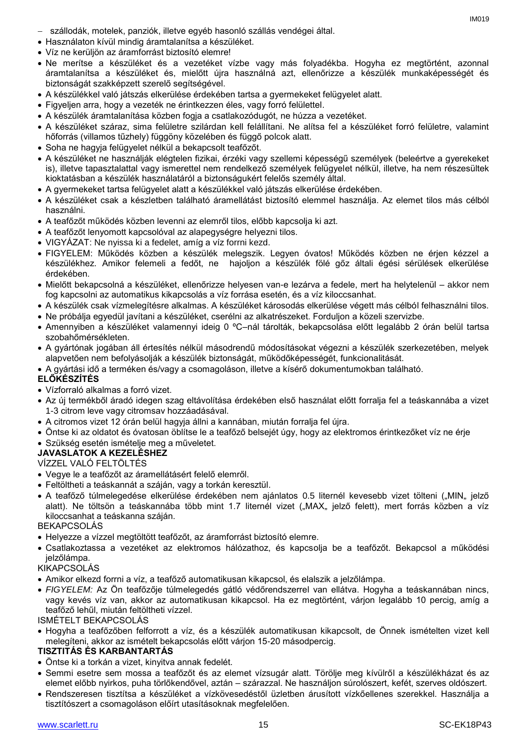IM019

- szállodák, motelek, panziók, illetve egyéb hasonló szállás vendégei által.
- Használaton kívül mindig áramtalanítsa a készüléket.
- Víz ne kerüljön az áramforrást biztosító elemre!
- Ne merítse a készüléket és a vezetéket vízbe vagy más folyadékba. Hogyha ez megtörtént, azonnal áramtalanítsa a készüléket és, mielőtt újra használná azt, ellenőrizze a készülék munkaképességét és biztonságát szakképzett szerelő segítségével.
- A készülékkel való játszás elkerülése érdekében tartsa a gyermekeket felügyelet alatt.
- Figyeljen arra, hogy a vezeték ne érintkezzen éles, vagy forró felülettel.
- A készülék áramtalanítása közben fogja a csatlakozódugót, ne húzza a vezetéket.
- A készüléket száraz, sima felületre szilárdan kell felállítani. Ne alítsa fel a készüléket forró felületre, valamint hőforrás (villamos tűzhely) függöny közelében és függő polcok alatt.
- Soha ne hagyja felügyelet nélkül a bekapcsolt teafőzőt.
- A készüléket ne használják elégtelen fizikai, érzéki vagy szellemi képességű személyek (beleértve a gyerekeket is), illetve tapasztalattal vagy ismerettel nem rendelkező személyek felügyelet nélkül, illetve, ha nem részesültek kioktatásban a készülék használatáról a biztonságukért felelős személy által.
- A gyermekeket tartsa felügyelet alatt a készülékkel való játszás elkerülése érdekében.
- A készüléket csak a készletben található áramellátást biztosító elemmel használja. Az elemet tilos más célból használni.
- A teafőzőt működés közben levenni az elemről tilos, előbb kapcsolja ki azt.
- A teafőzőt lenyomott kapcsolóval az alapegységre helyezni tilos.
- VIGYÁZAT: Ne nyissa ki a fedelet, amíg a víz forrni kezd.
- FIGYELEM: Működés közben a készülék melegszik. Legyen óvatos! Működés közben ne érjen kézzel a készülékhez. Amikor felemeli a fedőt, ne hajoljon a készülék fölé gőz általi égési sérülések elkerülése érdekében.
- Mielőtt bekapcsolná a készüléket, ellenőrizze helyesen van-e lezárva a fedele, mert ha helytelenül akkor nem fog kapcsolni az automatikus kikapcsolás a víz forrása esetén, és a víz kiloccsanhat.
- A készülék csak vízmelegítésre alkalmas. A készüléket károsodás elkerülése végett más célból felhasználni tilos.
- Ne próbálja egyedül javítani a készüléket, cserélni az alkatrészeket. Forduljon a közeli szervizbe.
- Amennyiben a készüléket valamennyi ideig 0 ºC–nál tárolták, bekapcsolása előtt legalább 2 órán belül tartsa szobahőmérsékleten.
- A gyártónak jogában áll értesítés nélkül másodrendű módosításokat végezni a készülék szerkezetében, melyek alapvetően nem befolyásolják a készülék biztonságát, működőképességét, funkcionalitását.
- A gyártási idő a terméken és/vagy a csomagoláson, illetve a kísérő dokumentumokban található.

#### **ELŐKÉSZÍTÉS**

- Vízforraló alkalmas a forró vizet.
- Az új termékből áradó idegen szag eltávolítása érdekében első használat előtt forralja fel a teáskannába a vizet 1-3 citrom leve vagy citromsav hozzáadásával.
- A citromos vizet 12 órán belül hagyja állni a kannában, miután forralja fel újra.
- Öntse ki az oldatot és óvatosan öblítse le a teafőző belsejét úgy, hogy az elektromos érintkezőket víz ne érje
- Szükség esetén ismételje meg a műveletet.

#### **JAVASLATOK A KEZELÉSHEZ**

VÍZZEL VALÓ FELTÖLTÉS

- Vegye le a teafőzőt az áramellátásért felelő elemről.
- Feltöltheti a teáskannát a száján, vagy a torkán keresztül.
- A teafőző túlmelegedése elkerülése érdekében nem ajánlatos 0.5 liternél kevesebb vizet tölteni ("MIN" jelző alatt). Ne töltsön a teáskannába több mint 1.7 liternél vizet ("MAX" jelző felett), mert forrás közben a víz kiloccsanhat a teáskanna száján.

#### BEKAPCSOLÁS

- Helyezze a vízzel megtöltött teafőzőt, az áramforrást biztosító elemre.
- Csatlakoztassa a vezetéket az elektromos hálózathoz, és kapcsolja be a teafőzőt. Bekapcsol a működési jelzőlámpa.

#### KIKAPCSOLÁS

- Amikor elkezd forrni a víz, a teafőző automatikusan kikapcsol, és elalszik a jelzőlámpa.
- *FIGYELEM:* Az Ön teafőzője túlmelegedés gátló védőrendszerrel van ellátva. Hogyha a teáskannában nincs, vagy kevés víz van, akkor az automatikusan kikapcsol. Ha ez megtörtént, várjon legalább 10 percig, amíg a teafőző lehűl, miután feltöltheti vízzel.

ISMÉTELT BEKAPCSOLÁS

 Hogyha a teafőzőben felforrott a víz, és a készülék automatikusan kikapcsolt, de Önnek ismételten vizet kell melegíteni, akkor az ismételt bekapcsolás előtt várjon 15-20 másodpercig.

#### **TISZTITÁS ÉS KARBANTARTÁS**

- Öntse ki a torkán a vizet, kinyitva annak fedelét.
- Semmi esetre sem mossa a teafőzőt és az elemet vízsugár alatt. Törölje meg kívülről a készülékházat és az elemet előbb nyirkos, puha törlőkendővel, aztán – szárazzal. Ne használjon súrolószert, kefét, szerves oldószert.
- Rendszeresen tisztítsa a készüléket a vízkövesedéstől üzletben árusított vízkőellenes szerekkel. Használja a tisztítószert a csomagoláson előírt utasításoknak megfelelően.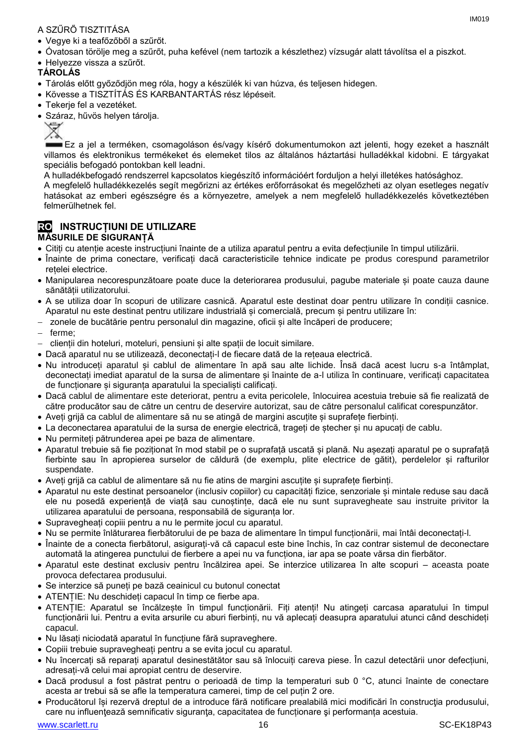#### A SZŰRŐ TISZTITÁSA

- Vegye ki a teafőzőből a szűrőt.
- Óvatosan törölje meg a szűrőt, puha kefével (nem tartozik a készlethez) vízsugár alatt távolítsa el a piszkot.
- Helyezze vissza a szűrőt.

#### **TÁROLÁS**

- Tárolás előtt győződjön meg róla, hogy a készülék ki van húzva, és teljesen hidegen.
- Kövesse a TISZTÍTÁS ÉS KARBANTARTÁS rész lépéseit.
- Tekerje fel a vezetéket.
- Száraz, hűvös helyen tárolia.



Ez a jel a terméken, csomagoláson és/vagy kísérő dokumentumokon azt jelenti, hogy ezeket a használt villamos és elektronikus termékeket és elemeket tilos az általános háztartási hulladékkal kidobni. E tárgyakat speciális befogadó pontokban kell leadni.

A hulladékbefogadó rendszerrel kapcsolatos kiegészítő információért forduljon a helyi illetékes hatósághoz.

A megfelelő hulladékkezelés segít megőrizni az értékes erőforrásokat és megelőzheti az olyan esetleges negatív hatásokat az emberi egészségre és a környezetre, amelyek a nem megfelelő hulladékkezelés következtében felmerülhetnek fel.

#### **RO INSTRUCȚIUNI DE UTILIZARE MĂSURILE DE SIGURANȚĂ**

- Citiți cu atenție aceste instrucțiuni înainte de a utiliza aparatul pentru a evita defecțiunile în timpul utilizării.
- Înainte de prima conectare, verificați dacă caracteristicile tehnice indicate pe produs corespund parametrilor rețelei electrice.
- Manipularea necorespunzătoare poate duce la deteriorarea produsului, pagube materiale și poate cauza daune sănătății utilizatorului.
- A se utiliza doar în scopuri de utilizare casnică. Aparatul este destinat doar pentru utilizare în condiții casnice. Aparatul nu este destinat pentru utilizare industrială și comercială, precum și pentru utilizare în:
- zonele de bucătărie pentru personalul din magazine, oficii și alte încăperi de producere;
- ferme;
- clienții din hoteluri, moteluri, pensiuni și alte spații de locuit similare.
- Dacă aparatul nu se utilizează, deconectați-l de fiecare dată de la rețeaua electrică.
- Nu introduceți aparatul și cablul de alimentare în apă sau alte lichide. Însă dacă acest lucru s-a întâmplat, deconectați imediat aparatul de la sursa de alimentare și înainte de a-l utiliza în continuare, verificați capacitatea de funcționare și siguranța aparatului la specialiști calificați.
- Dacă cablul de alimentare este deteriorat, pentru a evita pericolele, înlocuirea acestuia trebuie să fie realizată de către producător sau de către un centru de deservire autorizat, sau de către personalul calificat corespunzător.
- Aveți grijă ca cablul de alimentare să nu se atingă de margini ascuțite și suprafețe fierbinți.
- La deconectarea aparatului de la sursa de energie electrică, trageți de ștecher și nu apucați de cablu.
- Nu permiteți pătrunderea apei pe baza de alimentare.
- Aparatul trebuie să fie poziționat în mod stabil pe o suprafață uscată și plană. Nu așezați aparatul pe o suprafață fierbinte sau în apropierea surselor de căldură (de exemplu, plite electrice de gătit), perdelelor și rafturilor suspendate.
- Aveți grijă ca cablul de alimentare să nu fie atins de margini ascuțite și suprafețe fierbinți.
- Aparatul nu este destinat persoanelor (inclusiv copiilor) cu capacități fizice, senzoriale și mintale reduse sau dacă ele nu posedă experiență de viață sau cunoștințe, dacă ele nu sunt supravegheate sau instruite privitor la utilizarea aparatului de persoana, responsabilă de siguranța lor.
- Supravegheați copiii pentru a nu le permite jocul cu aparatul.
- Nu se permite înlăturarea fierbătorului de pe baza de alimentare în timpul funcționării, mai întâi deconectați-l.
- Înainte de a conecta fierbătorul, asigurați-vă că capacul este bine închis, în caz contrar sistemul de deconectare automată la atingerea punctului de fierbere a apei nu va funcționa, iar apa se poate vărsa din fierbător.
- Aparatul este destinat exclusiv pentru încălzirea apei. Se interzice utilizarea în alte scopuri aceasta poate provoca defectarea produsului.
- Se interzice să puneți pe bază ceainicul cu butonul conectat
- ATENȚIE: Nu deschideți capacul în timp ce fierbe apa.
- ATENȚIE: Aparatul se încălzește în timpul funcționării. Fiți atenți! Nu atingeți carcasa aparatului în timpul funcționării lui. Pentru a evita arsurile cu aburi fierbinți, nu vă aplecați deasupra aparatului atunci când deschideți capacul.
- Nu lăsați niciodată aparatul în funcțiune fără supraveghere.
- Copiii trebuie supravegheați pentru a se evita jocul cu aparatul.
- Nu încercați să reparați aparatul desinestătător sau să înlocuiți careva piese. În cazul detectării unor defecțiuni, adresați-vă celui mai apropiat centru de deservire.
- Dacă produsul a fost păstrat pentru o perioadă de timp la temperaturi sub 0 °C, atunci înainte de conectare acesta ar trebui să se afle la temperatura camerei, timp de cel puțin 2 ore.
- Producătorul își rezervă dreptul de a introduce fără notificare prealabilă mici modificări în construcţia produsului, care nu influențează semnificativ siguranța, capacitatea de funcționare și performanța acestuia.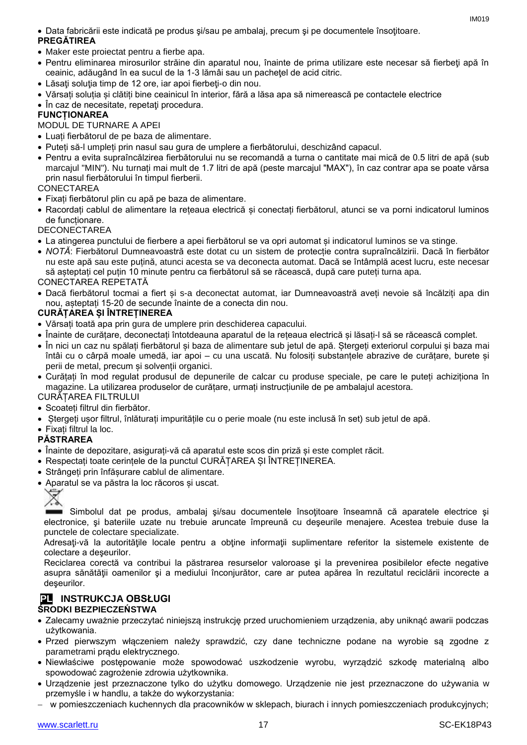#### Data fabricării este indicată pe produs şi/sau pe ambalaj, precum şi pe documentele însoţitoare. **PREGĂTIREA**

- Maker este proiectat pentru a fierbe apa.
- Pentru eliminarea mirosurilor străine din aparatul nou, înainte de prima utilizare este necesar să fierbeţi apă în ceainic, adăugând în ea sucul de la 1-3 lămâi sau un pacheţel de acid citric.
- Lăsati solutia timp de 12 ore, iar apoi fierbeți-o din nou.
- Vărsați soluția și clătiți bine ceainicul în interior, fără a lăsa apa să nimerească pe contactele electrice
- În caz de necesitate, repetați procedura.

#### **FUNCȚIONAREA**

#### MODUL DE TURNARE A APEI

- Luați fierbătorul de pe baza de alimentare.
- Puteți să-l umpleți prin nasul sau gura de umplere a fierbătorului, deschizând capacul.
- Pentru a evita supraîncălzirea fierbătorului nu se recomandă a turna o cantitate mai mică de 0.5 litri de apă (sub marcajul "MIN"). Nu turnați mai mult de 1.7 litri de apă (peste marcajul "MAX"), în caz contrar apa se poate vărsa prin nasul fierbătorului în timpul fierberii.

#### **CONECTAREA**

- Fixați fierbătorul plin cu apă pe baza de alimentare.
- Racordați cablul de alimentare la rețeaua electrică și conectați fierbătorul, atunci se va porni indicatorul luminos de funcționare.

#### **DECONECTAREA**

- La atingerea punctului de fierbere a apei fierbătorul se va opri automat și indicatorul luminos se va stinge.
- *NOTĂ*: Fierbătorul Dumneavoastră este dotat cu un sistem de protecție contra supraîncălzirii. Dacă în fierbător nu este apă sau este puțină, atunci acesta se va deconecta automat. Dacă se întâmplă acest lucru, este necesar să așteptați cel puțin 10 minute pentru ca fierbătorul să se răcească, după care puteți turna apa. CONECTAREA REPETATĂ
- Dacă fierbătorul tocmai a fiert și s-a deconectat automat, iar Dumneavoastră aveți nevoie să încălziți apa din nou, așteptați 15-20 de secunde înainte de a conecta din nou.

#### **CURĂȚAREA ȘI ÎNTREȚINEREA**

- Vărsați toată apa prin gura de umplere prin deschiderea capacului.
- Înainte de curățare, deconectați întotdeauna aparatul de la rețeaua electrică și lăsați-l să se răcească complet.
- În nici un caz nu spălați fierbătorul și baza de alimentare sub jetul de apă. Ștergeți exteriorul corpului și baza mai întâi cu o cârpă moale umedă, iar apoi – cu una uscată. Nu folosiți substanțele abrazive de curățare, burete și perii de metal, precum și solvenții organici.
- Curățați în mod regulat produsul de depunerile de calcar cu produse speciale, pe care le puteți achiziționa în magazine. La utilizarea produselor de curățare, urmați instrucțiunile de pe ambalajul acestora.

#### CURĂȚAREA FILTRULUI

- Scoateți filtrul din fierbător.
- Ștergeți ușor filtrul, înlăturați impuritățile cu o perie moale (nu este inclusă în set) sub jetul de apă.
- Fixați filtrul la loc.

#### **PĂSTRAREA**

- Înainte de depozitare, asigurați-vă că aparatul este scos din priză și este complet răcit.
- Respectați toate cerințele de la punctul CURĂȚAREA ȘI ÎNTREȚINEREA.
- Strângeți prin înfășurare cablul de alimentare.
- Aparatul se va păstra la loc răcoros și uscat.

## Ÿ

Simbolul dat pe produs, ambalaj şi/sau documentele însoțitoare înseamnă că aparatele electrice și electronice, şi bateriile uzate nu trebuie aruncate împreună cu deşeurile menajere. Acestea trebuie duse la punctele de colectare specializate.

Adresaţi-vă la autorităţile locale pentru a obţine informaţii suplimentare referitor la sistemele existente de colectare a deşeurilor.

Reciclarea corectă va contribui la păstrarea resurselor valoroase şi la prevenirea posibilelor efecte negative asupra sănătăţii oamenilor şi a mediului înconjurător, care ar putea apărea în rezultatul reciclării incorecte a deşeurilor.

### **PL INSTRUKCJA OBSŁUGI**

#### **ŚRODKI BEZPIECZEŃSTWA**

- Zalecamy uważnie przeczytać niniejszą instrukcję przed uruchomieniem urządzenia, aby uniknąć awarii podczas użytkowania.
- Przed pierwszym włączeniem należy sprawdzić, czy dane techniczne podane na wyrobie są zgodne z parametrami prądu elektrycznego.
- Niewłaściwe postępowanie może spowodować uszkodzenie wyrobu, wyrządzić szkodę materialną albo spowodować zagrożenie zdrowia użytkownika.
- Urządzenie jest przeznaczone tylko do użytku domowego. Urządzenie nie jest przeznaczone do używania w przemyśle i w handlu, a także do wykorzystania:
- w pomieszczeniach kuchennych dla pracowników w sklepach, biurach i innych pomieszczeniach produkcyjnych;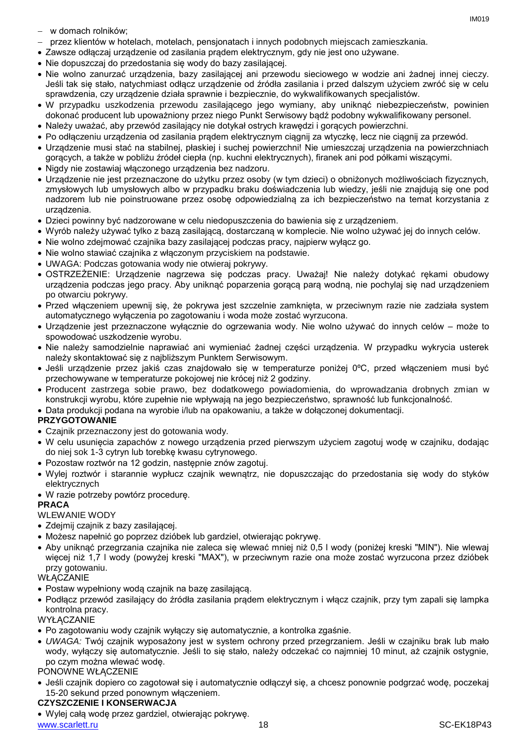- w domach rolników;
- przez klientów w hotelach, motelach, pensjonatach i innych podobnych miejscach zamieszkania.
- Zawsze odłączaj urządzenie od zasilania prądem elektrycznym, gdy nie jest ono używane.
- Nie dopuszczaj do przedostania się wody do bazy zasilającej.
- Nie wolno zanurzać urządzenia, bazy zasilającej ani przewodu sieciowego w wodzie ani żadnej innej cieczy. Jeśli tak się stało, natychmiast odłącz urządzenie od źródła zasilania i przed dalszym użyciem zwróć się w celu sprawdzenia, czy urządzenie działa sprawnie i bezpiecznie, do wykwalifikowanych specjalistów.
- W przypadku uszkodzenia przewodu zasilającego jego wymiany, aby uniknąć niebezpieczeństw, powinien dokonać producent lub upoważniony przez niego Punkt Serwisowy bądź podobny wykwalifikowany personel.
- Należy uważać, aby przewód zasilający nie dotykał ostrych krawędzi i gorących powierzchni.
- Po odłączeniu urządzenia od zasilania prądem elektrycznym ciągnij za wtyczkę, lecz nie ciągnij za przewód.
- Urządzenie musi stać na stabilnej, płaskiej i suchej powierzchni! Nie umieszczaj urządzenia na powierzchniach gorących, a także w pobliżu źródeł ciepła (np. kuchni elektrycznych), firanek ani pod półkami wiszącymi.
- Nigdy nie zostawiaj włączonego urządzenia bez nadzoru.
- Urządzenie nie jest przeznaczone do użytku przez osoby (w tym dzieci) o obniżonych możliwościach fizycznych, zmysłowych lub umysłowych albo w przypadku braku doświadczenia lub wiedzy, jeśli nie znajdują się one pod nadzorem lub nie poinstruowane przez osobę odpowiedzialną za ich bezpieczeństwo na temat korzystania z urządzenia.
- Dzieci powinny być nadzorowane w celu niedopuszczenia do bawienia się z urządzeniem.
- Wyrób należy używać tylko z bazą zasilającą, dostarczaną w komplecie. Nie wolno używać jej do innych celów.
- Nie wolno zdejmować czajnika bazy zasilającej podczas pracy, najpierw wyłącz go.
- Nie wolno stawiać czajnika z włączonym przyciskiem na podstawie.
- UWAGA: Podczas gotowania wody nie otwieraj pokrywy.
- OSTRZEŻENIE: Urządzenie nagrzewa się podczas pracy. Uważaj! Nie należy dotykać rękami obudowy urządzenia podczas jego pracy. Aby uniknąć poparzenia gorącą parą wodną, nie pochylaj się nad urządzeniem po otwarciu pokrywy.
- Przed włączeniem upewnij się, że pokrywa jest szczelnie zamknięta, w przeciwnym razie nie zadziała system automatycznego wyłączenia po zagotowaniu i woda może zostać wyrzucona.
- Urządzenie jest przeznaczone wyłącznie do ogrzewania wody. Nie wolno używać do innych celów może to spowodować uszkodzenie wyrobu.
- Nie należy samodzielnie naprawiać ani wymieniać żadnej części urządzenia. W przypadku wykrycia usterek należy skontaktować się z najbliższym Punktem Serwisowym.
- Jeśli urządzenie przez jakiś czas znajdowało się w temperaturze poniżej 0ºC, przed włączeniem musi być przechowywane w temperaturze pokojowej nie krócej niż 2 godziny.
- Producent zastrzega sobie prawo, bez dodatkowego powiadomienia, do wprowadzania drobnych zmian w konstrukcji wyrobu, które zupełnie nie wpływają na jego bezpieczeństwo, sprawność lub funkcjonalność.
- Data produkcji podana na wyrobie i/lub na opakowaniu, a także w dołączonej dokumentacji.

#### **PRZYGOTOWANIE**

- Czajnik przeznaczony jest do gotowania wody.
- W celu usunięcia zapachów z nowego urządzenia przed pierwszym użyciem zagotuj wodę w czajniku, dodając do niej sok 1-3 cytryn lub torebkę kwasu cytrynowego.
- Pozostaw roztwór na 12 godzin, następnie znów zagotuj.
- Wylej roztwór i starannie wypłucz czajnik wewnątrz, nie dopuszczając do przedostania się wody do styków elektrycznych
- W razie potrzeby powtórz procedurę.

#### **PRACA**

#### WLEWANIE WODY

- Zdejmij czajnik z bazy zasilającej.
- Możesz napełnić go poprzez dzióbek lub gardziel, otwierając pokrywę.
- Aby uniknąć przegrzania czajnika nie zaleca się wlewać mniej niż 0,5 l wody (poniżej kreski "MIN"). Nie wlewaj więcej niż 1,7 l wody (powyżej kreski "MAX"), w przeciwnym razie ona może zostać wyrzucona przez dzióbek przy gotowaniu.

#### WŁĄCZANIE

- Postaw wypełniony wodą czajnik na bazę zasilającą.
- Podłącz przewód zasilający do źródła zasilania prądem elektrycznym i włącz czajnik, przy tym zapali się lampka kontrolna pracy.

**WYŁĄCZANIE** 

- Po zagotowaniu wody czajnik wyłączy się automatycznie, a kontrolka zgaśnie.
- *UWAGA:* Twój czajnik wyposażony jest w system ochrony przed przegrzaniem. Jeśli w czajniku brak lub mało wody, wyłączy się automatycznie. Jeśli to się stało, należy odczekać co najmniej 10 minut, aż czajnik ostygnie, po czym można wlewać wodę.

#### PONOWNE WŁĄCZENIE

 Jeśli czajnik dopiero co zagotował się i automatycznie odłączył się, a chcesz ponownie podgrzać wodę, poczekaj 15-20 sekund przed ponownym włączeniem.

#### **CZYSZCZENIE I KONSERWACJA**

Wylej całą wodę przez gardziel, otwierając pokrywę.

www.scarlett.ru 18 SC-EK18P43